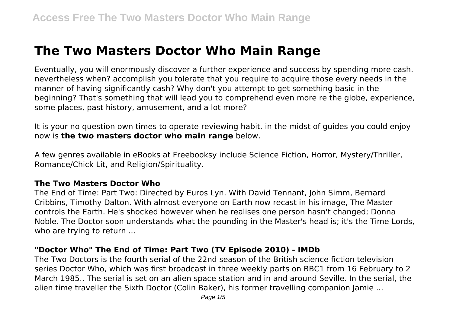# **The Two Masters Doctor Who Main Range**

Eventually, you will enormously discover a further experience and success by spending more cash. nevertheless when? accomplish you tolerate that you require to acquire those every needs in the manner of having significantly cash? Why don't you attempt to get something basic in the beginning? That's something that will lead you to comprehend even more re the globe, experience, some places, past history, amusement, and a lot more?

It is your no question own times to operate reviewing habit. in the midst of guides you could enjoy now is **the two masters doctor who main range** below.

A few genres available in eBooks at Freebooksy include Science Fiction, Horror, Mystery/Thriller, Romance/Chick Lit, and Religion/Spirituality.

#### **The Two Masters Doctor Who**

The End of Time: Part Two: Directed by Euros Lyn. With David Tennant, John Simm, Bernard Cribbins, Timothy Dalton. With almost everyone on Earth now recast in his image, The Master controls the Earth. He's shocked however when he realises one person hasn't changed; Donna Noble. The Doctor soon understands what the pounding in the Master's head is; it's the Time Lords, who are trying to return ...

#### **"Doctor Who" The End of Time: Part Two (TV Episode 2010) - IMDb**

The Two Doctors is the fourth serial of the 22nd season of the British science fiction television series Doctor Who, which was first broadcast in three weekly parts on BBC1 from 16 February to 2 March 1985.. The serial is set on an alien space station and in and around Seville. In the serial, the alien time traveller the Sixth Doctor (Colin Baker), his former travelling companion Jamie ...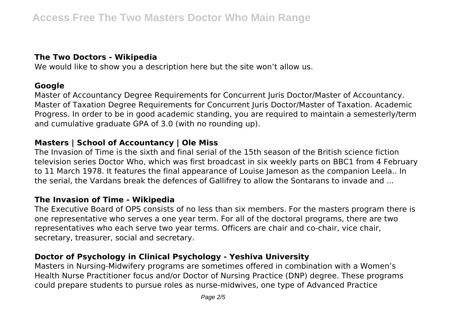## **The Two Doctors - Wikipedia**

We would like to show you a description here but the site won't allow us.

#### **Google**

Master of Accountancy Degree Requirements for Concurrent Juris Doctor/Master of Accountancy. Master of Taxation Degree Requirements for Concurrent Juris Doctor/Master of Taxation. Academic Progress. In order to be in good academic standing, you are required to maintain a semesterly/term and cumulative graduate GPA of 3.0 (with no rounding up).

## **Masters | School of Accountancy | Ole Miss**

The Invasion of Time is the sixth and final serial of the 15th season of the British science fiction television series Doctor Who, which was first broadcast in six weekly parts on BBC1 from 4 February to 11 March 1978. It features the final appearance of Louise Jameson as the companion Leela.. In the serial, the Vardans break the defences of Gallifrey to allow the Sontarans to invade and ...

## **The Invasion of Time - Wikipedia**

The Executive Board of OPS consists of no less than six members. For the masters program there is one representative who serves a one year term. For all of the doctoral programs, there are two representatives who each serve two year terms. Officers are chair and co-chair, vice chair, secretary, treasurer, social and secretary.

## **Doctor of Psychology in Clinical Psychology - Yeshiva University**

Masters in Nursing-Midwifery programs are sometimes offered in combination with a Women's Health Nurse Practitioner focus and/or Doctor of Nursing Practice (DNP) degree. These programs could prepare students to pursue roles as nurse-midwives, one type of Advanced Practice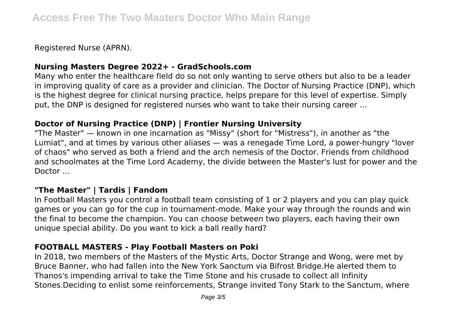Registered Nurse (APRN).

#### **Nursing Masters Degree 2022+ - GradSchools.com**

Many who enter the healthcare field do so not only wanting to serve others but also to be a leader in improving quality of care as a provider and clinician. The Doctor of Nursing Practice (DNP), which is the highest degree for clinical nursing practice, helps prepare for this level of expertise. Simply put, the DNP is designed for registered nurses who want to take their nursing career ...

#### **Doctor of Nursing Practice (DNP) | Frontier Nursing University**

"The Master" — known in one incarnation as "Missy" (short for "Mistress"), in another as "the Lumiat", and at times by various other aliases — was a renegade Time Lord, a power-hungry "lover of chaos" who served as both a friend and the arch nemesis of the Doctor. Friends from childhood and schoolmates at the Time Lord Academy, the divide between the Master's lust for power and the Doctor ...

#### **"The Master" | Tardis | Fandom**

In Football Masters you control a football team consisting of 1 or 2 players and you can play quick games or you can go for the cup in tournament-mode. Make your way through the rounds and win the final to become the champion. You can choose between two players, each having their own unique special ability. Do you want to kick a ball really hard?

### **FOOTBALL MASTERS - Play Football Masters on Poki**

In 2018, two members of the Masters of the Mystic Arts, Doctor Strange and Wong, were met by Bruce Banner, who had fallen into the New York Sanctum via Bifrost Bridge.He alerted them to Thanos's impending arrival to take the Time Stone and his crusade to collect all Infinity Stones.Deciding to enlist some reinforcements, Strange invited Tony Stark to the Sanctum, where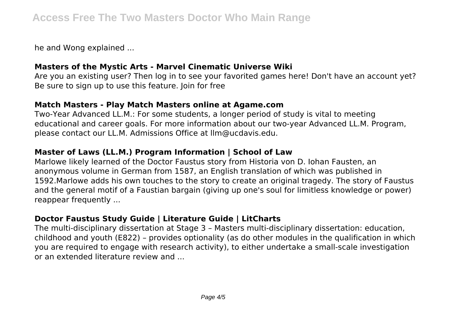he and Wong explained ...

### **Masters of the Mystic Arts - Marvel Cinematic Universe Wiki**

Are you an existing user? Then log in to see your favorited games here! Don't have an account yet? Be sure to sign up to use this feature. Join for free

#### **Match Masters - Play Match Masters online at Agame.com**

Two-Year Advanced LL.M.: For some students, a longer period of study is vital to meeting educational and career goals. For more information about our two-year Advanced LL.M. Program, please contact our LL.M. Admissions Office at llm@ucdavis.edu.

# **Master of Laws (LL.M.) Program Information | School of Law**

Marlowe likely learned of the Doctor Faustus story from Historia von D. Iohan Fausten, an anonymous volume in German from 1587, an English translation of which was published in 1592.Marlowe adds his own touches to the story to create an original tragedy. The story of Faustus and the general motif of a Faustian bargain (giving up one's soul for limitless knowledge or power) reappear frequently ...

# **Doctor Faustus Study Guide | Literature Guide | LitCharts**

The multi-disciplinary dissertation at Stage 3 – Masters multi-disciplinary dissertation: education, childhood and youth (E822) – provides optionality (as do other modules in the qualification in which you are required to engage with research activity), to either undertake a small-scale investigation or an extended literature review and ...